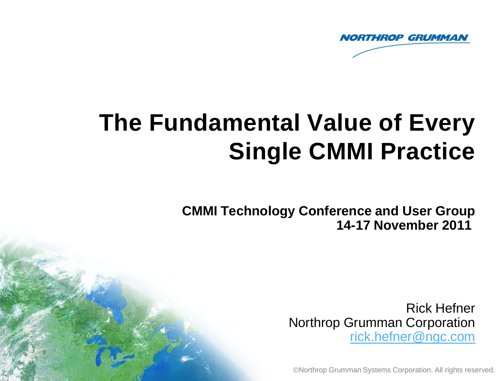

# **The Fundamental Value of Every Single CMMI Practice**

**CMMI Technology Conference and User Group 14-17 November 2011** 

> Rick Hefner Northrop Grumman Corporation [rick.hefner@ngc.com](mailto:rick.hefner@ngc.com)

©Northrop Grumman Systems Corporation. All rights reserved.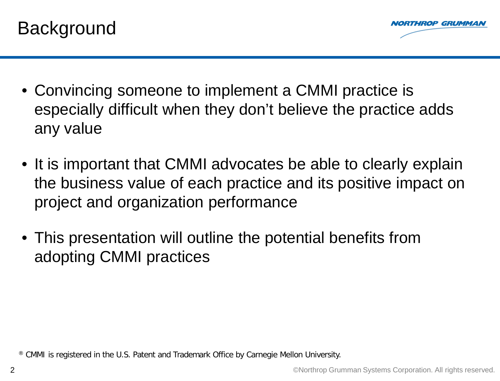



- Convincing someone to implement a CMMI practice is especially difficult when they don't believe the practice adds any value
- It is important that CMMI advocates be able to clearly explain the business value of each practice and its positive impact on project and organization performance
- This presentation will outline the potential benefits from adopting CMMI practices

® CMMI is registered in the U.S. Patent and Trademark Office by Carnegie Mellon University.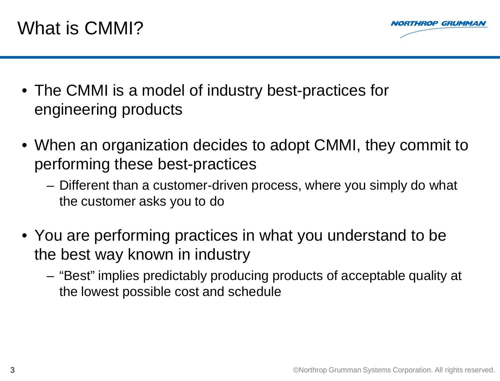

- The CMMI is a model of industry best-practices for engineering products
- When an organization decides to adopt CMMI, they commit to performing these best-practices
	- Different than a customer-driven process, where you simply do what the customer asks you to do
- You are performing practices in what you understand to be the best way known in industry
	- "Best" implies predictably producing products of acceptable quality at the lowest possible cost and schedule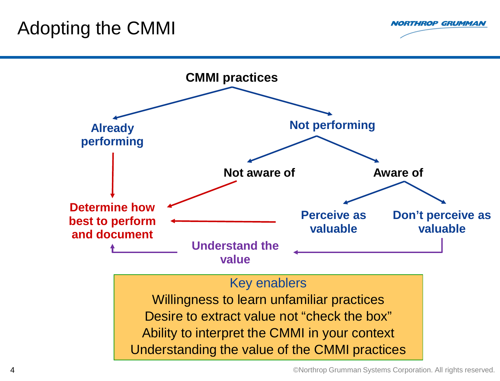### Adopting the CMMI



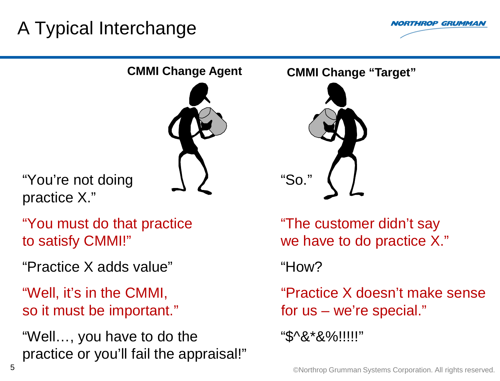# A Typical Interchange





"You're not doing practice X."

"You must do that practice to satisfy CMMI!"

"Practice X adds value" "How?

"Well, it's in the CMMI, so it must be important."

"Well…, you have to do the practice or you'll fail the appraisal!"



"The customer didn't say we have to do practice X."

"Practice X doesn't make sense for us – we're special."

"\$^&\*&%!!!!!"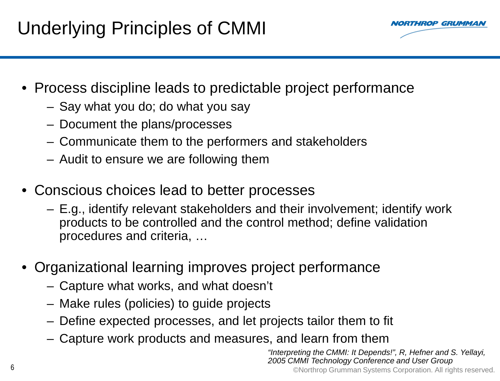# Underlying Principles of CMMI

**RTHROP GRUMMA** 

- Process discipline leads to predictable project performance
	- Say what you do; do what you say
	- Document the plans/processes
	- Communicate them to the performers and stakeholders
	- Audit to ensure we are following them
- Conscious choices lead to better processes
	- E.g., identify relevant stakeholders and their involvement; identify work products to be controlled and the control method; define validation procedures and criteria, …
- Organizational learning improves project performance
	- Capture what works, and what doesn't
	- Make rules (policies) to guide projects
	- Define expected processes, and let projects tailor them to fit
	- Capture work products and measures, and learn from them

*"Interpreting the CMMI: It Depends!", R, Hefner and S. Yellayi,*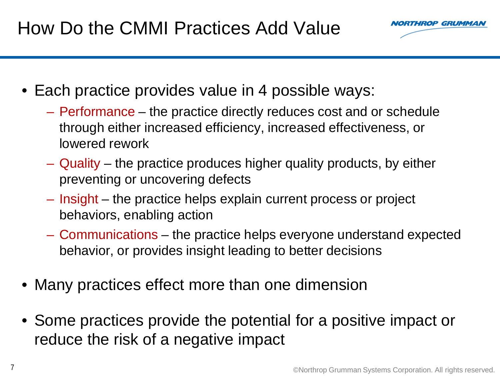

- Each practice provides value in 4 possible ways:
	- Performance the practice directly reduces cost and or schedule through either increased efficiency, increased effectiveness, or lowered rework
	- Quality the practice produces higher quality products, by either preventing or uncovering defects
	- Insight the practice helps explain current process or project behaviors, enabling action
	- Communications the practice helps everyone understand expected behavior, or provides insight leading to better decisions
- Many practices effect more than one dimension
- Some practices provide the potential for a positive impact or reduce the risk of a negative impact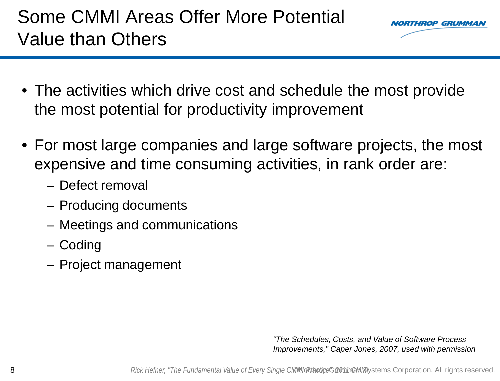## Some CMMI Areas Offer More Potential Value than Others



- The activities which drive cost and schedule the most provide the most potential for productivity improvement
- For most large companies and large software projects, the most expensive and time consuming activities, in rank order are:
	- Defect removal
	- Producing documents
	- Meetings and communications
	- Coding
	- Project management

*"The Schedules, Costs, and Value of Software Process Improvements," Caper Jones, 2007, used with permission*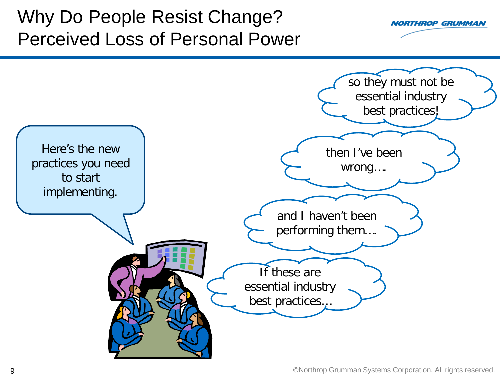## Why Do People Resist Change? Perceived Loss of Personal Power



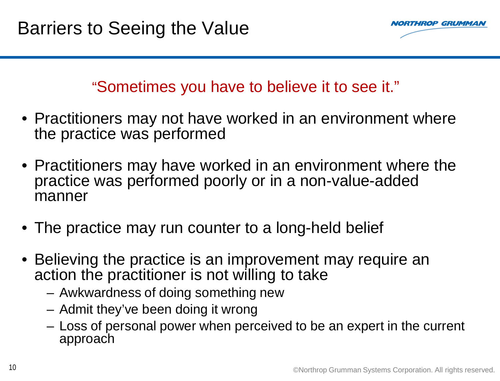

### "Sometimes you have to believe it to see it."

- Practitioners may not have worked in an environment where the practice was performed
- Practitioners may have worked in an environment where the practice was performed poorly or in a non-value-added manner
- The practice may run counter to a long-held belief
- Believing the practice is an improvement may require an action the practitioner is not willing to take
	- Awkwardness of doing something new
	- Admit they've been doing it wrong
	- Loss of personal power when perceived to be an expert in the current approach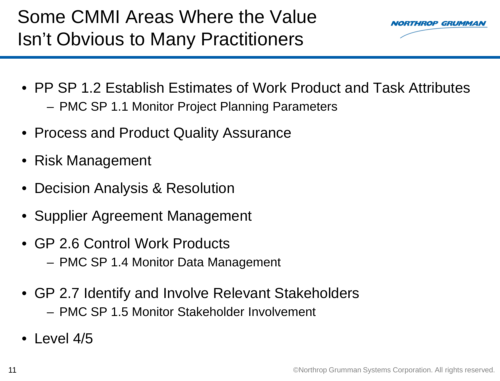

- PP SP 1.2 Establish Estimates of Work Product and Task Attributes
	- PMC SP 1.1 Monitor Project Planning Parameters
- Process and Product Quality Assurance
- Risk Management
- Decision Analysis & Resolution
- Supplier Agreement Management
- GP 2.6 Control Work Products – PMC SP 1.4 Monitor Data Management
- GP 2.7 Identify and Involve Relevant Stakeholders – PMC SP 1.5 Monitor Stakeholder Involvement
- $\bullet$  Level 4/5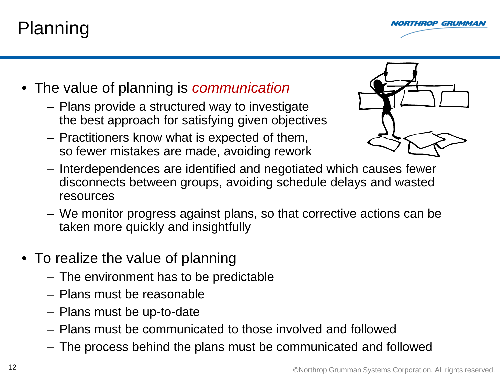# Planning



- The value of planning is *communication*
	- Plans provide a structured way to investigate the best approach for satisfying given objectives
	- Practitioners know what is expected of them, so fewer mistakes are made, avoiding rework



- Interdependences are identified and negotiated which causes fewer disconnects between groups, avoiding schedule delays and wasted resources
- We monitor progress against plans, so that corrective actions can be taken more quickly and insightfully
- To realize the value of planning
	- The environment has to be predictable
	- Plans must be reasonable
	- Plans must be up-to-date
	- Plans must be communicated to those involved and followed
	- The process behind the plans must be communicated and followed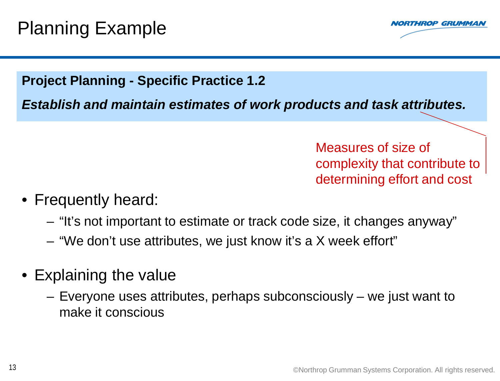

### **Project Planning - Specific Practice 1.2**

*Establish and maintain estimates of work products and task attributes.*

Measures of size of complexity that contribute to determining effort and cost

- Frequently heard:
	- "It's not important to estimate or track code size, it changes anyway"
	- "We don't use attributes, we just know it's a X week effort"
- Explaining the value
	- Everyone uses attributes, perhaps subconsciously we just want to make it conscious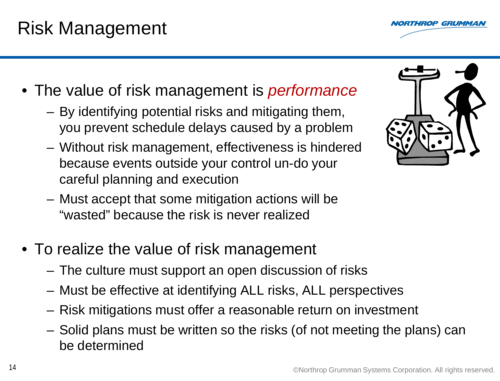### Risk Management

- The value of risk management is *performance*
	- By identifying potential risks and mitigating them, you prevent schedule delays caused by a problem
	- Without risk management, effectiveness is hindered because events outside your control un-do your careful planning and execution
	- Must accept that some mitigation actions will be "wasted" because the risk is never realized
- To realize the value of risk management
	- The culture must support an open discussion of risks
	- Must be effective at identifying ALL risks, ALL perspectives
	- Risk mitigations must offer a reasonable return on investment
	- Solid plans must be written so the risks (of not meeting the plans) can be determined



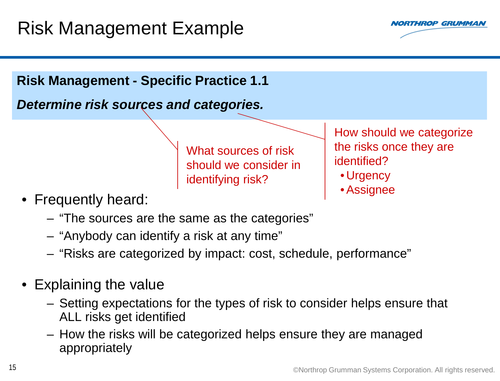

### **Risk Management - Specific Practice 1.1**

*Determine risk sources and categories.*

What sources of risk should we consider in identifying risk?

How should we categorize the risks once they are identified?

- Urgency
- •Assignee
- Frequently heard:
	- "The sources are the same as the categories"
	- "Anybody can identify a risk at any time"
	- "Risks are categorized by impact: cost, schedule, performance"
- Explaining the value
	- Setting expectations for the types of risk to consider helps ensure that ALL risks get identified
	- How the risks will be categorized helps ensure they are managed appropriately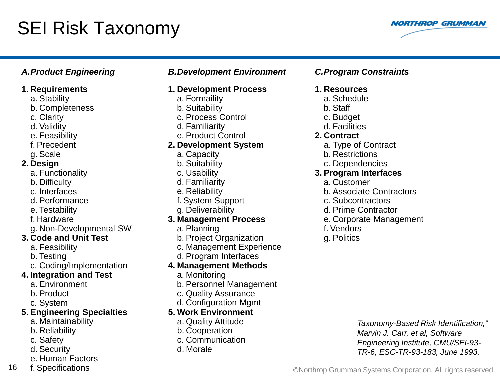## SEI Risk Taxonomy



#### **1. Requirements**

- a. Stability
- b. Completeness
- c. Clarity
- d. Validity
- e. Feasibility
- f. Precedent
- g. Scale

#### **2. Design**

- a. Functionality
- b. Difficulty
- c. Interfaces
- d. Performance
- e. Testability
- f. Hardware
- g. Non-Developmental SW

### **3. Code and Unit Test**

- a. Feasibility
- b. Testing
- c. Coding/Implementation

### **4. Integration and Test**

- a. Environment
- b. Product
- c. System

#### **5. Engineering Specialties**

- a. Maintainability
- b. Reliability
- c. Safety
- d. Security
- e. Human Factors
- f. Specifications

### *A.Product Engineering B.Development Environment C.Program Constraints*

#### **1. Development Process**

- a. Formaility
- b. Suitability
- c. Process Control
- d. Familiarity
- e. Product Control

#### **2. Development System**

- a. Capacity
- b. Suitability
- c. Usability
- d. Familiarity
- e. Reliability
- f. System Support
- g. Deliverability

### **3. Management Process**

- a. Planning
- b. Project Organization
- c. Management Experience
- d. Program Interfaces

#### **4. Management Methods**

- a. Monitoring
- b. Personnel Management
- c. Quality Assurance
- d. Configuration Mgmt

### **5. Work Environment**

- a. Quality Attitude
- b. Cooperation
- c. Communication
- d. Morale

#### **1. Resources**

- a. Schedule
- b. Staff
- c. Budget
- d. Facilities

#### **2. Contract**

- a. Type of Contract
- b. Restrictions
- c. Dependencies

#### **3. Program Interfaces**

- a. Customer
- b. Associate Contractors
- c. Subcontractors
- d. Prime Contractor
- e. Corporate Management
- f. Vendors
- g. Politics

*Taxonomy-Based Risk Identification," Marvin J. Carr, et al, Software Engineering Institute, CMU/SEI-93- TR-6, ESC-TR-93-183, June 1993.*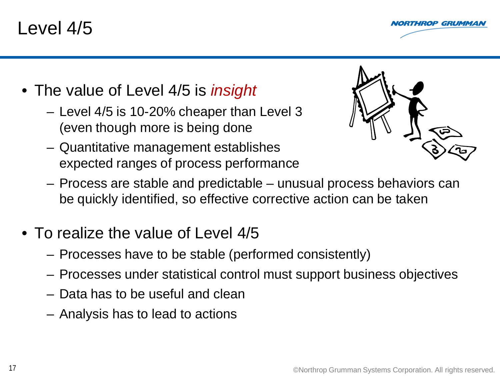### Level 4/5



- The value of Level 4/5 is *insight*
	- Level 4/5 is 10-20% cheaper than Level 3 (even though more is being done
	- Quantitative management establishes expected ranges of process performance



- Process are stable and predictable unusual process behaviors can be quickly identified, so effective corrective action can be taken
- To realize the value of Level 4/5
	- Processes have to be stable (performed consistently)
	- Processes under statistical control must support business objectives
	- Data has to be useful and clean
	- Analysis has to lead to actions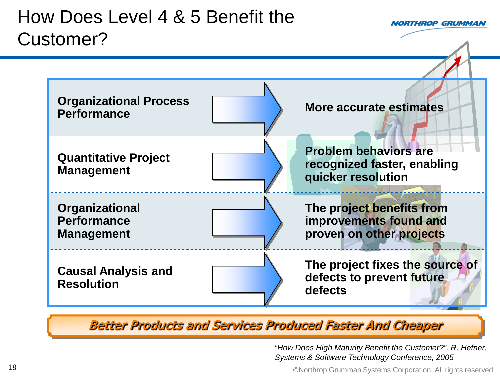

Better Products and Services Produced Faster And Cheaper

*"How Does High Maturity Benefit the Customer?", R. Hefner, Systems & Software Technology Conference, 2005*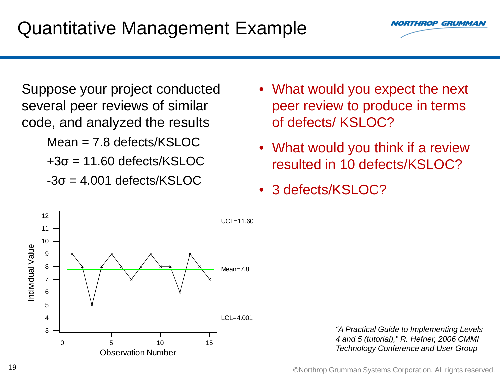Suppose your project conducted several peer reviews of similar code, and analyzed the results Mean = 7.8 defects/KSLOC  $+3\sigma = 11.60$  defects/KSLOC  $-3\sigma = 4.001$  defects/KSLOC

### • What would you expect the next peer review to produce in terms of defects/ KSLOC?

- What would you think if a review resulted in 10 defects/KSLOC?
- 3 defects/KSLOC?